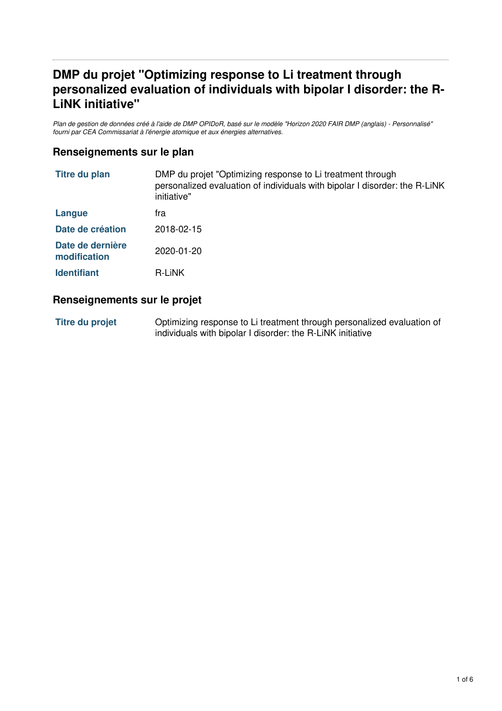# **DMP du projet "Optimizing response to Li treatment through personalized evaluation of individuals with bipolar I disorder: the R-LiNK initiative"**

Plan de gestion de données créé à l'aide de DMP OPIDoR, basé sur le modèle "Horizon 2020 FAIR DMP (anglais) - Personnalisé" *fourni par CEA Commissariat à l'énergie atomique et aux énergies alternatives.*

### **Renseignements sur le plan**

| <b>Titre du plan</b>             | DMP du projet "Optimizing response to Li treatment through<br>personalized evaluation of individuals with bipolar I disorder: the R-LiNK<br>initiative" |  |
|----------------------------------|---------------------------------------------------------------------------------------------------------------------------------------------------------|--|
| Langue                           | tra                                                                                                                                                     |  |
| Date de création                 | 2018-02-15                                                                                                                                              |  |
| Date de dernière<br>modification | $2020 - 01 - 20$                                                                                                                                        |  |
| <b>Identifiant</b>               | <b>R-LINK</b>                                                                                                                                           |  |

#### **Renseignements sur le projet**

**Titre du projet** Optimizing response to Li treatment through personalized evaluation of individuals with bipolar I disorder: the R-LiNK initiative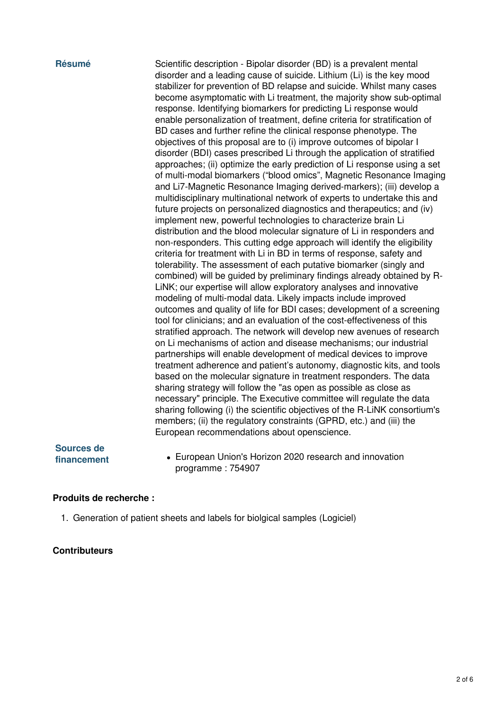**Résumé** Scientific description - Bipolar disorder (BD) is a prevalent mental disorder and a leading cause of suicide. Lithium (Li) is the key mood stabilizer for prevention of BD relapse and suicide. Whilst many cases become asymptomatic with Li treatment, the majority show sub-optimal response. Identifying biomarkers for predicting Li response would enable personalization of treatment, define criteria for stratification of BD cases and further refine the clinical response phenotype. The objectives of this proposal are to (i) improve outcomes of bipolar I disorder (BDI) cases prescribed Li through the application of stratified approaches; (ii) optimize the early prediction of Li response using a set of multi-modal biomarkers ("blood omics", Magnetic Resonance Imaging and Li7-Magnetic Resonance Imaging derived-markers); (iii) develop a multidisciplinary multinational network of experts to undertake this and future projects on personalized diagnostics and therapeutics; and (iv) implement new, powerful technologies to characterize brain Li distribution and the blood molecular signature of Li in responders and non-responders. This cutting edge approach will identify the eligibility criteria for treatment with Li in BD in terms of response, safety and tolerability. The assessment of each putative biomarker (singly and combined) will be guided by preliminary findings already obtained by R-LiNK; our expertise will allow exploratory analyses and innovative modeling of multi-modal data. Likely impacts include improved outcomes and quality of life for BDI cases; development of a screening tool for clinicians; and an evaluation of the cost-effectiveness of this stratified approach. The network will develop new avenues of research on Li mechanisms of action and disease mechanisms; our industrial partnerships will enable development of medical devices to improve treatment adherence and patient's autonomy, diagnostic kits, and tools based on the molecular signature in treatment responders. The data sharing strategy will follow the "as open as possible as close as necessary" principle. The Executive committee will regulate the data sharing following (i) the scientific objectives of the R-LiNK consortium's members; (ii) the regulatory constraints (GPRD, etc.) and (iii) the European recommendations about openscience.

# **Sources de**

**financement** • European Union's Horizon 2020 research and innovation programme : 754907

#### **Produits de recherche :**

1. Generation of patient sheets and labels for biolgical samples (Logiciel)

#### **Contributeurs**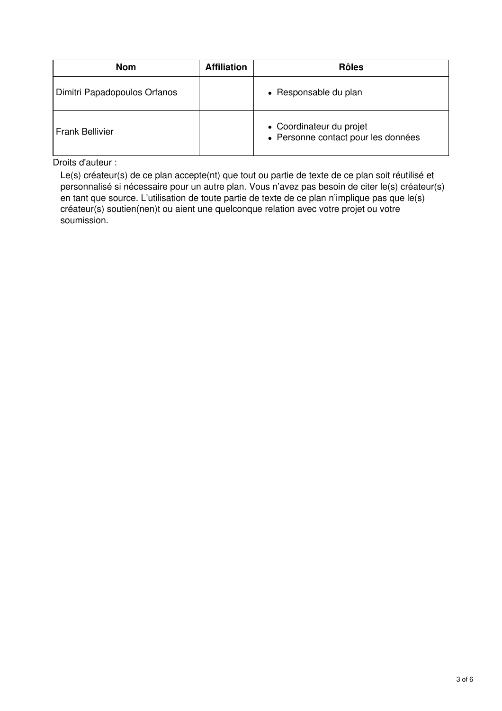| <b>Nom</b>                   | <b>Affiliation</b> | <b>Rôles</b>                                                    |
|------------------------------|--------------------|-----------------------------------------------------------------|
| Dimitri Papadopoulos Orfanos |                    | • Responsable du plan                                           |
| <b>Frank Bellivier</b>       |                    | • Coordinateur du projet<br>• Personne contact pour les données |

Droits d'auteur :

Le(s) créateur(s) de ce plan accepte(nt) que tout ou partie de texte de ce plan soit réutilisé et personnalisé si nécessaire pour un autre plan. Vous n'avez pas besoin de citer le(s) créateur(s) en tant que source. L'utilisation de toute partie de texte de ce plan n'implique pas que le(s) créateur(s) soutien(nen)t ou aient une quelconque relation avec votre projet ou votre soumission.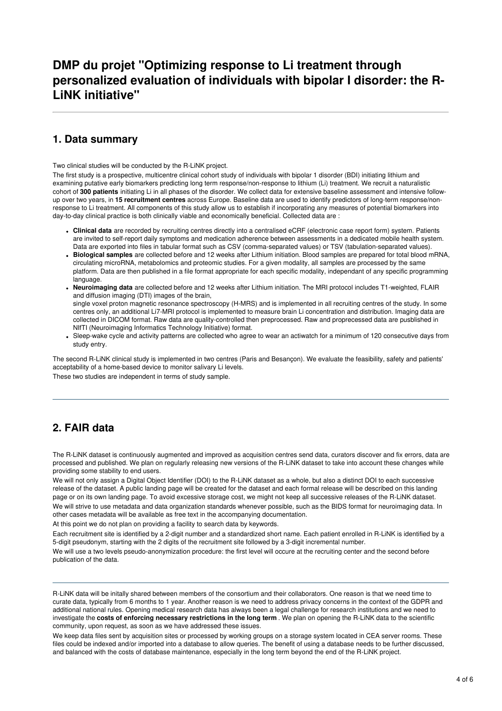# **DMP du projet "Optimizing response to Li treatment through personalized evaluation of individuals with bipolar I disorder: the R-LiNK initiative"**

# **1. Data summary**

Two clinical studies will be conducted by the R-LiNK project.

The first study is a prospective, multicentre clinical cohort study of individuals with bipolar 1 disorder (BDI) initiating lithium and examining putative early biomarkers predicting long term response/non-response to lithium (Li) treatment. We recruit a naturalistic cohort of **300 patients** initiating Li in all phases of the disorder. We collect data for extensive baseline assessment and intensive followup over two years, in **15 recruitment centres** across Europe. Baseline data are used to identify predictors of long-term response/nonresponse to Li treatment. All components of this study allow us to establish if incorporating any measures of potential biomarkers into day-to-day clinical practice is both clinically viable and economically beneficial. Collected data are :

- **Clinical data** are recorded by recruiting centres directly into a centralised eCRF (electronic case report form) system. Patients are invited to self-report daily symptoms and medication adherence between assessments in a dedicated mobile health system. Data are exported into files in tabular format such as CSV (comma-separated values) or TSV (tabulation-separated values).
- **Biological samples** are collected before and 12 weeks after Lithium initiation. Blood samples are prepared for total blood mRNA, circulating microRNA, metabolomics and proteomic studies. For a given modality, all samples are processed by the same platform. Data are then published in a file format appropriate for each specific modality, independant of any specific programming language.
- **Neuroimaging data** are collected before and 12 weeks after Lithium initiation. The MRI protocol includes T1-weighted, FLAIR and diffusion imaging (DTI) images of the brain, single voxel proton magnetic resonance spectroscopy (H-MRS) and is implemented in all recruiting centres of the study. In some centres only, an additional Li7-MRI protocol is implemented to measure brain Li concentration and distribution. Imaging data are collected in DICOM format. Raw data are quality-controlled then preprocessed. Raw and proprecessed data are pusblished in NIfTI (Neuroimaging Informatics Technology Initiative) format.
- Sleep-wake cycle and activity patterns are collected who agree to wear an actiwatch for a minimum of 120 consecutive days from study entry.

The second R-LiNK clinical study is implemented in two centres (Paris and Besançon). We evaluate the feasibility, safety and patients' acceptability of a home-based device to monitor salivary Li levels.

These two studies are independent in terms of study sample.

# **2. FAIR data**

The R-LiNK dataset is continuously augmented and improved as acquisition centres send data, curators discover and fix errors, data are processed and published. We plan on regularly releasing new versions of the R-LiNK dataset to take into account these changes while providing some stability to end users.

We will not only assign a Digital Object Identifier (DOI) to the R-LiNK dataset as a whole, but also a distinct DOI to each successive release of the dataset. A public landing page will be created for the dataset and each formal release will be described on this landing page or on its own landing page. To avoid excessive storage cost, we might not keep all successive releases of the R-LiNK dataset.

We will strive to use metadata and data organization standards whenever possible, such as the BIDS format for neuroimaging data. In other cases metadata will be available as free text in the accompanying documentation.

At this point we do not plan on providing a facility to search data by keywords.

Each recruitment site is identified by a 2-digit number and a standardized short name. Each patient enrolled in R-LiNK is identified by a 5-digit pseudonym, starting with the 2 digits of the recruitment site followed by a 3-digit incremental number.

We will use a two levels pseudo-anonymization procedure: the first level will occure at the recruiting center and the second before publication of the data.

R-LiNK data will be initally shared between members of the consortium and their collaborators. One reason is that we need time to curate data, typically from 6 months to 1 year. Another reason is we need to address privacy concerns in the context of the GDPR and additional national rules. Opening medical research data has always been a legal challenge for research institutions and we need to investigate the **costs of enforcing necessary restrictions in the long term** .We plan on opening the R-LiNK data to the scientific community, upon request, as soon as we have addressed these issues.

We keep data files sent by acquisition sites or processed by working groups on a storage system located in CEA server rooms. These files could be indexed and/or imported into a database to allow queries. The benefit of using a database needs to be further discussed, and balanced with the costs of database maintenance, especially in the long term beyond the end of the R-LiNK project.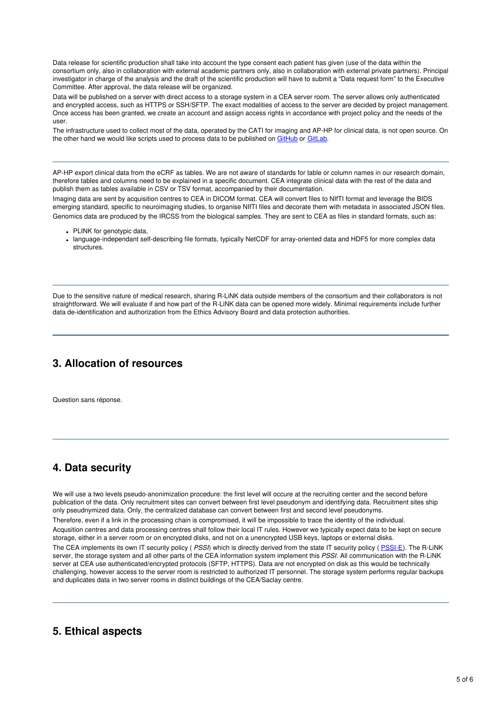Data release for scientific production shall take into account the type consent each patient has given (use of the data within the consortium only, also in collaboration with external academic partners only, also in collaboration with external private partners). Principal investigator in charge of the analysis and the draft of the scientific production will have to submit a "Data request form" to the Executive Committee. After approval, the data release will be organized.

Data will be published on a server with direct access to a storage system in a CEA server room. The server allows only authenticated and encrypted access, such as HTTPS or SSH/SFTP. The exact modalities of access to the server are decided by project management. Once access has been granted, we create an account and assign access rights in accordance with project policy and the needs of the user.

The infrastructure used to collect most of the data, operated by the CATI for imaging and AP-HP for clinical data, is not open source. On the other hand we would like scripts used to process data to be published on [GitHub](https://github.com/rlink7) or [GitLab](https://about.gitlab.com/).

AP-HP export clinical data from the eCRF as tables. We are not aware of standards for table or column names in our research domain, therefore tables and columns need to be explained in a specific document. CEA integrate clinical data with the rest of the data and publish them as tables available in CSV or TSV format, accompanied by their documentation.

Imaging data are sent by acquisition centres to CEA in DICOM format. CEA will convert files to NIfTI format and leverage the BIDS emerging standard, specific to neuroimaging studies, to organise NIfTI files and decorate them with metadata in associated JSON files. Genomics data are produced by the IRCSS from the biological samples. They are sent to CEA as files in standard formats, such as:

- PLINK for genotypic data,
- language-independant self-describing file formats, typically NetCDF for array-oriented data and HDF5 for more complex data structures.

Due to the sensitive nature of medical research, sharing R-LiNK data outside members of the consortium and their collaborators is not straightforward. We will evaluate if and how part of the R-LiNK data can be opened more widely. Minimal requirements include further data de-identification and authorization from the Ethics Advisory Board and data protection authorities.

# **3. Allocation of resources**

Question sans réponse.

# **4. Data security**

We will use a two levels pseudo-anonimization procedure: the first level will occure at the recruiting center and the second before publication of the data. Only recruitment sites can convert between first level pseudonym and identifying data. Recruitment sites ship only pseudnymized data. Only, the centralized database can convert between first and second level pseudonyms.

Therefore, even if a link in the processing chain is compromised, it will be impossible to trace the identity of the individual. Acqusition centres and data processing centres shall follow their local IT rules. However we typically expect data to be kept on secure storage, either in a server room or on encrypted disks, and not on a unencrypted USB keys, laptops or external disks.

The CEA implements its own IT security policy ( *PSSI*) which is directly derived from the state IT security policy ( [PSSI-E](https://www.ssi.gouv.fr/entreprise/reglementation/protection-des-systemes-dinformations/la-politique-de-securite-des-systemes-dinformation-de-letat-pssie/)). The R-LiNK server, the storage system and all other parts of the CEA information system implement this *PSSI*. All communication with the R-LiNK server at CEA use authenticated/encrypted protocols (SFTP, HTTPS). Data are not encrypted on disk as this would be technically challenging, however access to the server room is restricted to authorized IT personnel. The storage system performs regular backups and duplicates data in two server rooms in distinct buildings of the CEA/Saclay centre.

#### **5. Ethical aspects**